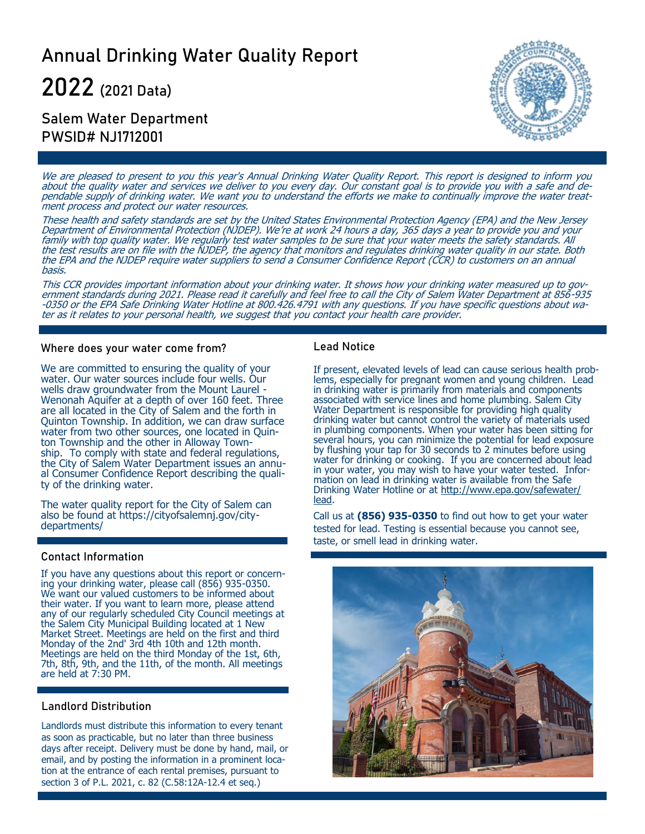# Annual Drinking Water Quality Report

**2022** (2021 Data)

## Salem Water Department PWSID# NJ1712001



We are pleased to present to you this year's Annual Drinking Water Quality Report. This report is designed to inform you about the quality water and services we deliver to you every day. Our constant goal is to provide you with a safe and dependable supply of drinking water. We want you to understand the efforts we make to continually improve the water treatment process and protect our water resources.

These health and safety standards are set by the United States Environmental Protection Agency (EPA) and the New Jersey Department of Environmental Protection (NJDEP). We're at work 24 hours a day, 365 days a year to provide you and your family with top quality water. We regularly test water samples to be sure that your water meets the safety standards. All the test results are on file with the NJDEP, the agency that monitors and regulates drinking water quality in our state. Both the EPA and the NJDEP require water suppliers to send a Consumer Confidence Report (CCR) to customers on an annual basis.

This CCR provides important information about your drinking water. It shows how your drinking water measured up to government standards during 2021. Please read it carefully and feel free to call the City of Salem Water Department at 856-935 -0350 or the EPA Safe Drinking Water Hotline at 800.426.4791 with any questions. If you have specific questions about water as it relates to your personal health, we suggest that you contact your health care provider.

#### Where does your water come from?

We are committed to ensuring the quality of your water. Our water sources include four wells. Our wells draw groundwater from the Mount Laurel - Wenonah Aquifer at a depth of over 160 feet. Three are all located in the City of Salem and the forth in Quinton Township. In addition, we can draw surface water from two other sources, one located in Quinton Township and the other in Alloway Township. To comply with state and federal regulations, the City of Salem Water Department issues an annual Consumer Confidence Report describing the quality of the drinking water.

The water quality report for the City of Salem can also be found at https://cityofsalemnj.gov/citydepartments/

#### Contact Information

If you have any questions about this report or concerning your drinking water, please call (856) 935-0350. We want our valued customers to be informed about their water. If you want to learn more, please attend any of our regularly scheduled City Council meetings at the Salem City Municipal Building located at 1 New Market Street. Meetings are held on the first and third Monday of the 2nd' 3rd 4th 10th and 12th month. Meetings are held on the third Monday of the 1st, 6th, 7th, 8th, 9th, and the 11th, of the month. All meetings are held at 7:30 PM.

#### Landlord Distribution

Landlords must distribute this information to every tenant as soon as practicable, but no later than three business days after receipt. Delivery must be done by hand, mail, or email, and by posting the information in a prominent location at the entrance of each rental premises, pursuant to section 3 of P.L. 2021, c. 82 (C.58:12A-12.4 et seq.)

#### Lead Notice

If present, elevated levels of lead can cause serious health problems, especially for pregnant women and young children. Lead in drinking water is primarily from materials and components associated with service lines and home plumbing. Salem City Water Department is responsible for providing high quality drinking water but cannot control the variety of materials used in plumbing components. When your water has been sitting for several hours, you can minimize the potential for lead exposure by flushing your tap for 30 seconds to 2 minutes before using water for drinking or cooking. If you are concerned about lead in your water, you may wish to have your water tested. Information on lead in drinking water is available from the Safe Drinking Water Hotline or at [http://www.epa.gov/safewater/](http://www.epa.gov/safewater/lead) [lead.](http://www.epa.gov/safewater/lead)

Call us at **(856) 935-0350** to find out how to get your water tested for lead. Testing is essential because you cannot see, taste, or smell lead in drinking water.

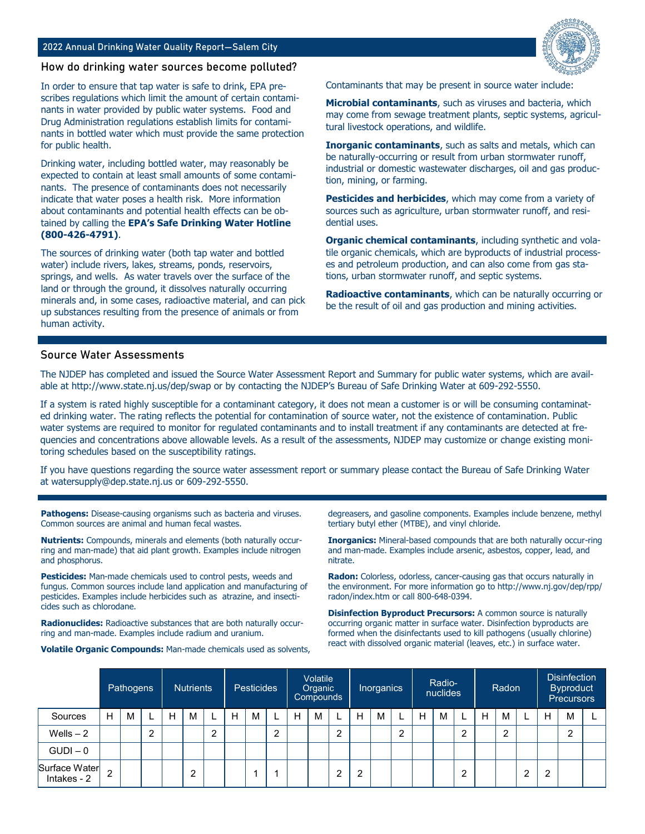#### 2022 Annual Drinking Water Quality Report—Salem City



#### How do drinking water sources become polluted?

In order to ensure that tap water is safe to drink, EPA prescribes regulations which limit the amount of certain contaminants in water provided by public water systems. Food and Drug Administration regulations establish limits for contaminants in bottled water which must provide the same protection for public health.

Drinking water, including bottled water, may reasonably be expected to contain at least small amounts of some contaminants. The presence of contaminants does not necessarily indicate that water poses a health risk. More information about contaminants and potential health effects can be obtained by calling the **EPA's Safe Drinking Water Hotline (800-426-4791)**.

The sources of drinking water (both tap water and bottled water) include rivers, lakes, streams, ponds, reservoirs, springs, and wells. As water travels over the surface of the land or through the ground, it dissolves naturally occurring minerals and, in some cases, radioactive material, and can pick up substances resulting from the presence of animals or from human activity.

Contaminants that may be present in source water include:

**Microbial contaminants**, such as viruses and bacteria, which may come from sewage treatment plants, septic systems, agricultural livestock operations, and wildlife.

**Inorganic contaminants**, such as salts and metals, which can be naturally-occurring or result from urban stormwater runoff, industrial or domestic wastewater discharges, oil and gas production, mining, or farming.

**Pesticides and herbicides**, which may come from a variety of sources such as agriculture, urban stormwater runoff, and residential uses.

**Organic chemical contaminants**, including synthetic and volatile organic chemicals, which are byproducts of industrial processes and petroleum production, and can also come from gas stations, urban stormwater runoff, and septic systems.

**Radioactive contaminants**, which can be naturally occurring or be the result of oil and gas production and mining activities.

#### Source Water Assessments

The NJDEP has completed and issued the Source Water Assessment Report and Summary for public water systems, which are available at http://www.state.nj.us/dep/swap or by contacting the NJDEP's Bureau of Safe Drinking Water at 609-292-5550.

If a system is rated highly susceptible for a contaminant category, it does not mean a customer is or will be consuming contaminated drinking water. The rating reflects the potential for contamination of source water, not the existence of contamination. Public water systems are required to monitor for regulated contaminants and to install treatment if any contaminants are detected at frequencies and concentrations above allowable levels. As a result of the assessments, NJDEP may customize or change existing monitoring schedules based on the susceptibility ratings.

If you have questions regarding the source water assessment report or summary please contact the Bureau of Safe Drinking Water at watersupply@dep.state.nj.us or 609-292-5550.

**Pathogens:** Disease-causing organisms such as bacteria and viruses. Common sources are animal and human fecal wastes.

**Nutrients:** Compounds, minerals and elements (both naturally occurring and man-made) that aid plant growth. Examples include nitrogen and phosphorus.

**Pesticides:** Man-made chemicals used to control pests, weeds and fungus. Common sources include land application and manufacturing of pesticides. Examples include herbicides such as atrazine, and insecticides such as chlorodane.

**Radionuclides:** Radioactive substances that are both naturally occurring and man-made. Examples include radium and uranium.

**Volatile Organic Compounds:** Man-made chemicals used as solvents,

degreasers, and gasoline components. Examples include benzene, methyl tertiary butyl ether (MTBE), and vinyl chloride.

**Inorganics:** Mineral-based compounds that are both naturally occur-ring and man-made. Examples include arsenic, asbestos, copper, lead, and nitrate.

**Radon:** Colorless, odorless, cancer-causing gas that occurs naturally in the environment. For more information go to http://www.nj.gov/dep/rpp/ radon/index.htm or call 800-648-0394.

**Disinfection Byproduct Precursors:** A common source is naturally occurring organic matter in surface water. Disinfection byproducts are formed when the disinfectants used to kill pathogens (usually chlorine) react with dissolved organic material (leaves, etc.) in surface water.

|               |   | Pathogens |   |   | <b>Nutrients</b> |   |   | <b>Pesticides</b> |   |   | Volatile<br>Organic<br>Compounds |   |   | <b>Inorganics</b> |   |   | Radio-<br>nuclides |   |   | Radon |                |   | <b>Disinfection</b><br><b>Byproduct</b><br><b>Precursors</b> |  |
|---------------|---|-----------|---|---|------------------|---|---|-------------------|---|---|----------------------------------|---|---|-------------------|---|---|--------------------|---|---|-------|----------------|---|--------------------------------------------------------------|--|
| Sources       | н | M         |   | H | M                |   | н | M                 | ш | H | M                                |   | H | м                 |   | Н | M                  |   | H | M     |                | н | M                                                            |  |
| Wells $-2$    |   |           | ∩ |   |                  | റ |   |                   | ◠ |   |                                  | າ |   |                   | ົ |   |                    | 2 |   | റ     |                |   | $\overline{2}$                                               |  |
| $GUDI - 0$    |   |           |   |   |                  |   |   |                   |   |   |                                  |   |   |                   |   |   |                    |   |   |       |                |   |                                                              |  |
| Surface Water | റ |           |   |   | 2                |   |   |                   |   |   |                                  | ົ | 2 |                   |   |   |                    | ◠ |   |       | $\overline{2}$ | റ |                                                              |  |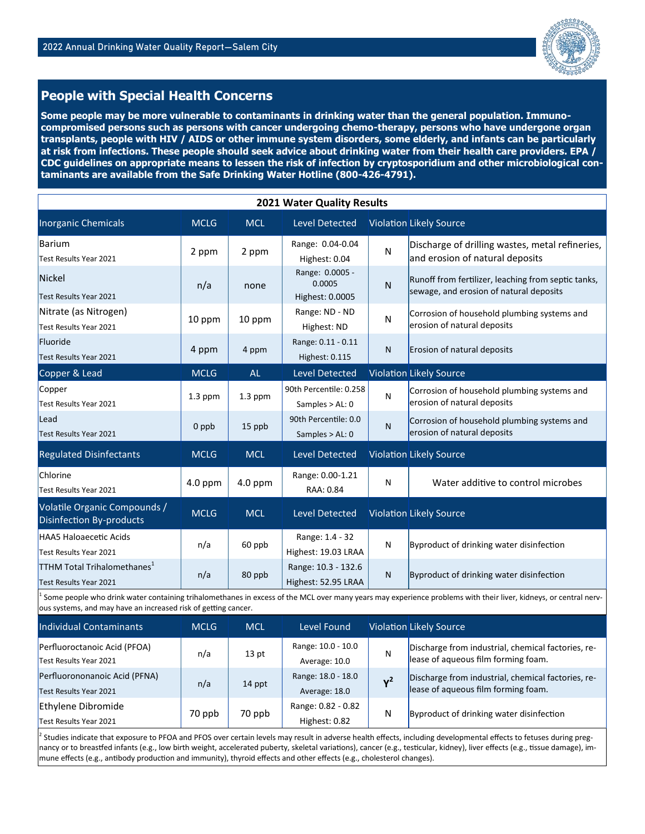

## **People with Special Health Concerns**

**Some people may be more vulnerable to contaminants in drinking water than the general population. Immunocompromised persons such as persons with cancer undergoing chemo-therapy, persons who have undergone organ transplants, people with HIV / AIDS or other immune system disorders, some elderly, and infants can be particularly at risk from infections. These people should seek advice about drinking water from their health care providers. EPA / CDC guidelines on appropriate means to lessen the risk of infection by cryptosporidium and other microbiological contaminants are available from the Safe Drinking Water Hotline (800-426-4791).**

| 2021 Water Quality Results                                        |                                                                                                                                                                                                                                   |                  |                                              |       |                                                                                                |  |  |  |  |
|-------------------------------------------------------------------|-----------------------------------------------------------------------------------------------------------------------------------------------------------------------------------------------------------------------------------|------------------|----------------------------------------------|-------|------------------------------------------------------------------------------------------------|--|--|--|--|
| <b>Inorganic Chemicals</b>                                        | <b>MCLG</b>                                                                                                                                                                                                                       | <b>MCL</b>       | <b>Level Detected</b>                        |       | <b>Violation Likely Source</b>                                                                 |  |  |  |  |
| <b>Barium</b><br>Test Results Year 2021                           | 2 ppm                                                                                                                                                                                                                             | 2 ppm            | Range: 0.04-0.04<br>Highest: 0.04            | N     | Discharge of drilling wastes, metal refineries,<br>and erosion of natural deposits             |  |  |  |  |
| Nickel<br>Test Results Year 2021                                  | n/a                                                                                                                                                                                                                               | none             | Range: 0.0005 -<br>0.0005<br>Highest: 0.0005 | N     | Runoff from fertilizer, leaching from septic tanks,<br>sewage, and erosion of natural deposits |  |  |  |  |
| Nitrate (as Nitrogen)<br>Test Results Year 2021                   | 10 ppm                                                                                                                                                                                                                            | 10 ppm           | Range: ND - ND<br>Highest: ND                | N     | Corrosion of household plumbing systems and<br>erosion of natural deposits                     |  |  |  |  |
| Fluoride<br>Test Results Year 2021                                | 4 ppm                                                                                                                                                                                                                             | 4 ppm            | Range: 0.11 - 0.11<br>Highest: 0.115         | N     | Erosion of natural deposits                                                                    |  |  |  |  |
| Copper & Lead                                                     | <b>MCLG</b>                                                                                                                                                                                                                       | AL               | <b>Level Detected</b>                        |       | <b>Violation Likely Source</b>                                                                 |  |  |  |  |
| Copper<br>Test Results Year 2021                                  | 1.3 ppm                                                                                                                                                                                                                           | 1.3 ppm          | 90th Percentile: 0.258<br>Samples > AL: 0    | N     | Corrosion of household plumbing systems and<br>erosion of natural deposits                     |  |  |  |  |
| Lead<br>Test Results Year 2021                                    | 0 ppb                                                                                                                                                                                                                             | 15 ppb           | 90th Percentile: 0.0<br>Samples > AL: 0      | N     | Corrosion of household plumbing systems and<br>erosion of natural deposits                     |  |  |  |  |
| <b>Regulated Disinfectants</b>                                    | <b>MCLG</b>                                                                                                                                                                                                                       | <b>MCL</b>       | <b>Level Detected</b>                        |       | <b>Violation Likely Source</b>                                                                 |  |  |  |  |
| Chlorine<br>Test Results Year 2021                                | 4.0 ppm                                                                                                                                                                                                                           | 4.0 ppm          | Range: 0.00-1.21<br>RAA: 0.84                | N     | Water additive to control microbes                                                             |  |  |  |  |
| Volatile Organic Compounds /<br><b>Disinfection By-products</b>   | <b>MCLG</b>                                                                                                                                                                                                                       | <b>MCL</b>       | <b>Level Detected</b>                        |       | <b>Violation Likely Source</b>                                                                 |  |  |  |  |
| <b>HAA5 Haloaecetic Acids</b><br>Test Results Year 2021           | n/a                                                                                                                                                                                                                               | 60 ppb           | Range: 1.4 - 32<br>Highest: 19.03 LRAA       | N     | Byproduct of drinking water disinfection                                                       |  |  |  |  |
| TTHM Total Trihalomethanes <sup>1</sup><br>Test Results Year 2021 | n/a                                                                                                                                                                                                                               | 80 ppb           | Range: 10.3 - 132.6<br>Highest: 52.95 LRAA   | N     | Byproduct of drinking water disinfection                                                       |  |  |  |  |
|                                                                   | Some people who drink water containing trihalomethanes in excess of the MCL over many years may experience problems with their liver, kidneys, or central nerv-<br>ous systems, and may have an increased risk of getting cancer. |                  |                                              |       |                                                                                                |  |  |  |  |
| Individual Contaminants                                           | <b>MCLG</b>                                                                                                                                                                                                                       | <b>MCL</b>       | <b>Level Found</b>                           |       | <b>Violation Likely Source</b>                                                                 |  |  |  |  |
| Perfluoroctanoic Acid (PFOA)<br>Test Results Year 2021            | n/a                                                                                                                                                                                                                               | 13 <sub>pt</sub> | Range: 10.0 - 10.0<br>Average: 10.0          | N     | Discharge from industrial, chemical factories, re-<br>lease of aqueous film forming foam.      |  |  |  |  |
| Perfluorononanoic Acid (PFNA)<br>Test Results Year 2021           | n/a                                                                                                                                                                                                                               | 14 ppt           | Range: 18.0 - 18.0<br>Average: 18.0          | $Y^2$ | Discharge from industrial, chemical factories, re-<br>lease of aqueous film forming foam.      |  |  |  |  |
| Ethylene Dibromide                                                |                                                                                                                                                                                                                                   |                  | Range: 0.82 - 0.82                           |       | .                                                                                              |  |  |  |  |

2 Studies indicate that exposure to PFOA and PFOS over certain levels may result in adverse health effects, including developmental effects to fetuses during pregnancy or to breastfed infants (e.g., low birth weight, accelerated puberty, skeletal variations), cancer (e.g., testicular, kidney), liver effects (e.g., tissue damage), immune effects (e.g., antibody production and immunity), thyroid effects and other effects (e.g., cholesterol changes).

N Byproduct of drinking water disinfection

70 ppb 70 ppb

Test Results Year 2021 **Highest: 0.82**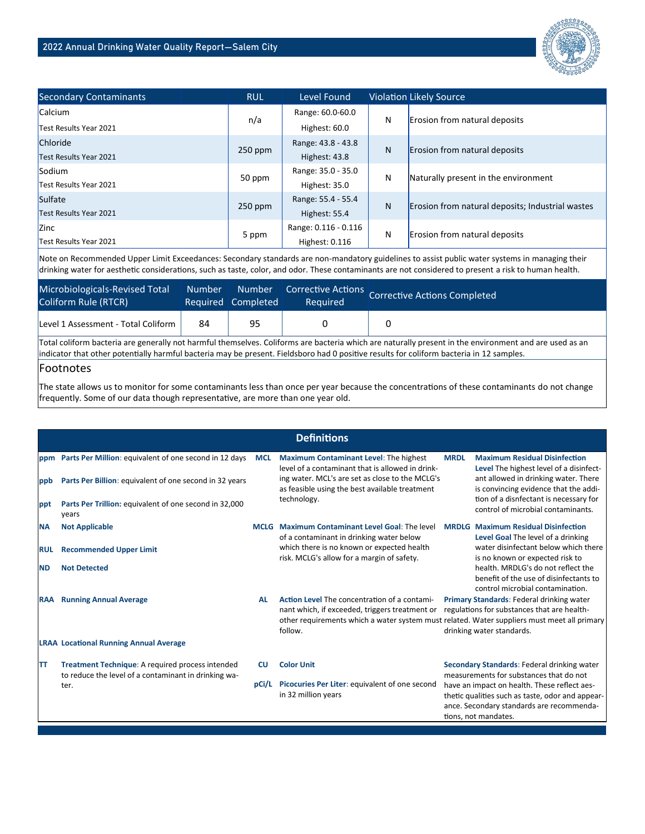

| <b>Secondary Contaminants</b> | <b>RUL</b> | Level Found          |   | <b>Violation Likely Source</b>                   |  |  |
|-------------------------------|------------|----------------------|---|--------------------------------------------------|--|--|
| <b>Calcium</b>                |            | Range: 60.0-60.0     | N | Erosion from natural deposits                    |  |  |
| Test Results Year 2021        | n/a        | Highest: 60.0        |   |                                                  |  |  |
| Chloride                      | $250$ ppm  | Range: 43.8 - 43.8   | N | Erosion from natural deposits                    |  |  |
| Test Results Year 2021        |            | Highest: 43.8        |   |                                                  |  |  |
| Sodium                        | 50 ppm     | Range: 35.0 - 35.0   | N | Naturally present in the environment             |  |  |
| Test Results Year 2021        |            | Highest: 35.0        |   |                                                  |  |  |
| Sulfate                       | $250$ ppm  | Range: 55.4 - 55.4   | N | Erosion from natural deposits; Industrial wastes |  |  |
| Test Results Year 2021        |            | Highest: 55.4        |   |                                                  |  |  |
| <b>Zinc</b>                   |            | Range: 0.116 - 0.116 | N | Erosion from natural deposits                    |  |  |
| Test Results Year 2021        | 5 ppm      | Highest: 0.116       |   |                                                  |  |  |

Note on Recommended Upper Limit Exceedances: Secondary standards are non-mandatory guidelines to assist public water systems in managing their drinking water for aesthetic considerations, such as taste, color, and odor. These contaminants are not considered to present a risk to human health.

| Microbiologicals-Revised Total<br>Coliform Rule (RTCR) | Number | <b>Number</b><br>Required Completed | Required | Corrective Actions Corrective Actions Completed |
|--------------------------------------------------------|--------|-------------------------------------|----------|-------------------------------------------------|
| Level 1 Assessment - Total Coliform                    | 84     | 95                                  |          |                                                 |

Total coliform bacteria are generally not harmful themselves. Coliforms are bacteria which are naturally present in the environment and are used as an indicator that other potentially harmful bacteria may be present. Fieldsboro had 0 positive results for coliform bacteria in 12 samples.

#### Footnotes

The state allows us to monitor for some contaminants less than once per year because the concentrations of these contaminants do not change frequently. Some of our data though representative, are more than one year old.

|            |                                                                                                          |            | <b>Definitions</b>                                                                                                                                                                                       |             |                                                                                                                                                                       |
|------------|----------------------------------------------------------------------------------------------------------|------------|----------------------------------------------------------------------------------------------------------------------------------------------------------------------------------------------------------|-------------|-----------------------------------------------------------------------------------------------------------------------------------------------------------------------|
|            | ppm Parts Per Million: equivalent of one second in 12 days                                               | <b>MCL</b> | Maximum Contaminant Level: The highest<br>level of a contaminant that is allowed in drink-                                                                                                               | <b>MRDL</b> | <b>Maximum Residual Disinfection</b><br>Level The highest level of a disinfect-                                                                                       |
| ppb        | Parts Per Billion: equivalent of one second in 32 years                                                  |            | ing water. MCL's are set as close to the MCLG's<br>as feasible using the best available treatment                                                                                                        |             | ant allowed in drinking water. There<br>is convincing evidence that the addi-                                                                                         |
| ppt        | Parts Per Trillion: equivalent of one second in 32,000<br>years                                          |            | technology.                                                                                                                                                                                              |             | tion of a disnfectant is necessary for<br>control of microbial contaminants.                                                                                          |
| <b>NA</b>  | <b>Not Applicable</b>                                                                                    |            | MCLG Maximum Contaminant Level Goal: The level<br>of a contaminant in drinking water below                                                                                                               |             | <b>MRDLG</b> Maximum Residual Disinfection<br>Level Goal The level of a drinking                                                                                      |
| <b>RUL</b> | <b>Recommended Upper Limit</b>                                                                           |            | which there is no known or expected health<br>risk. MCLG's allow for a margin of safety.                                                                                                                 |             | water disinfectant below which there<br>is no known or expected risk to                                                                                               |
| <b>ND</b>  | <b>Not Detected</b>                                                                                      |            |                                                                                                                                                                                                          |             | health. MRDLG's do not reflect the<br>benefit of the use of disinfectants to<br>control microbial contamination.                                                      |
| RAA        | <b>Running Annual Average</b>                                                                            | <b>AL</b>  | Action Level The concentration of a contami-<br>nant which, if exceeded, triggers treatment or<br>other requirements which a water system must related. Water suppliers must meet all primary<br>follow. |             | Primary Standards: Federal drinking water<br>regulations for substances that are health-<br>drinking water standards.                                                 |
|            | <b>LRAA Locational Running Annual Average</b>                                                            |            |                                                                                                                                                                                                          |             |                                                                                                                                                                       |
| TТ         | Treatment Technique: A required process intended<br>to reduce the level of a contaminant in drinking wa- | <b>CU</b>  | <b>Color Unit</b>                                                                                                                                                                                        |             | Secondary Standards: Federal drinking water<br>measurements for substances that do not                                                                                |
|            | ter.                                                                                                     | pCi/L      | Picocuries Per Liter: equivalent of one second<br>in 32 million years                                                                                                                                    |             | have an impact on health. These reflect aes-<br>thetic qualities such as taste, odor and appear-<br>ance. Secondary standards are recommenda-<br>tions, not mandates. |